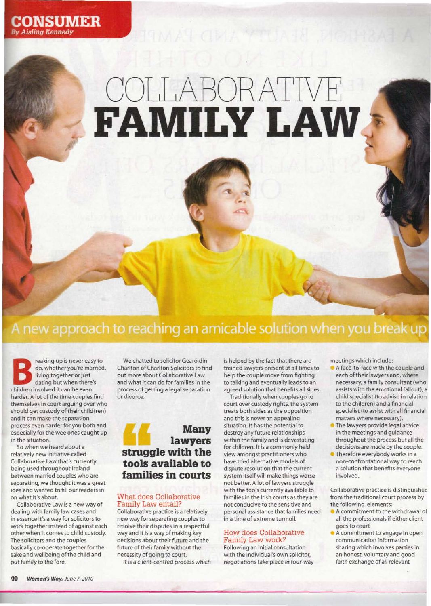

# COLLABORATIVE **FAMILY LAW \***

# A new approach to reaching an amicable solution when you break up

reaking up is never easier do, whether you're may living together or just<br>living together or just<br>children involved it can be even reaking up is never easy to do, whether you're married, living together or just dating but when there's harder. A lot of the time couples find themselves in court arguing over who should get custody of their child(ren) and it can make the separation process even harder for you both and especially for the wee ones caught up in the situation.

So when we heard about a relatively new initiative called Collaborative Law that's currently being used throughout Ireland between married couples who are separating, we thought it was a great idea and wanted to fill our readers in on what it's about.

Collaborative Law is a new way of dealing with family law cases and in essence it's a way for solicitors to work together instead of against each other when it comes to child custody. The solicitors and the couples basically co-operate together for the sake and wellbeing of the child and put family to the fore.

We chatted to solicitor Gearóidín Charlton of Charlton Solicitors to find out more about Collaborative Law and what it can do for families in the process of getting a legal separation or divorce.



#### What does Collaborative Family Law entail?

Collaborative practice is a relatively new way for separating couples to resolve their disputes in a respectful way and it is a way of making key decisions about their future and the future of their family without the necessity of going to court.

It is a client-centred process which

is helped by the fact that there are trained lawyers present at all times to help the couple move from fighting to talking and eventually leads to an agreed solution that benefits all sides.

Traditionally when couples go to court over custody rights, the system treats both sides as the opposition and this is never an appealing situation. It has the potential to destroy any future relationships within the family and is devastating for children. It is a commonly held view amongst practitioners who have tried alternative models of dispute resolution that the current system itself will make things worse not better. A lot of lawyers struggle with the tools currently available to families in the Irish courts as they are not conducive to the sensitive and personal assistance that families need in a time of extreme turmoil.

#### How does Collaborative Family Law work?

Following an initial consultation with the individual's own solicitor, negotiations take place in four-way meetings which include:

- A face-to-face with the couple and each of their lawyers and, where necessary, a family consultant (who assists with the emotional fallout), a child specialist (to advise in relation to the children) and a financial specialist (to assist with all financial matters where necessary).
- The lawyers provide legal advice in the meetings and guidance throughout the process but all the decisions are made by the couple.
- Therefore everybody works in a non-confrontational way to reach a solution that benefits everyone involved.

Collaborative practice is distinguished from the traditional court process by the following elements:

- A commitment to the withdrawal of all the professionals if either client goes to court
- A commitment to engage in open communication information sharing which involves parties in an honest, voluntary and good faith exchange of all relevant